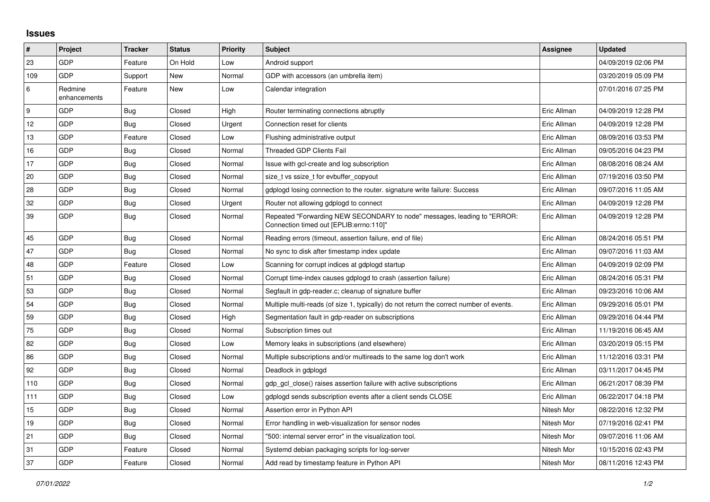## **Issues**

| #   | Project                 | <b>Tracker</b> | <b>Status</b> | Priority | <b>Subject</b>                                                                                                      | Assignee    | <b>Updated</b>      |
|-----|-------------------------|----------------|---------------|----------|---------------------------------------------------------------------------------------------------------------------|-------------|---------------------|
| 23  | GDP                     | Feature        | On Hold       | Low      | Android support                                                                                                     |             | 04/09/2019 02:06 PM |
| 109 | <b>GDP</b>              | Support        | <b>New</b>    | Normal   | GDP with accessors (an umbrella item)                                                                               |             | 03/20/2019 05:09 PM |
| 6   | Redmine<br>enhancements | Feature        | New           | Low      | Calendar integration                                                                                                |             | 07/01/2016 07:25 PM |
| 9   | GDP                     | <b>Bug</b>     | Closed        | High     | Router terminating connections abruptly                                                                             | Eric Allman | 04/09/2019 12:28 PM |
| 12  | GDP                     | <b>Bug</b>     | Closed        | Urgent   | Connection reset for clients                                                                                        | Eric Allman | 04/09/2019 12:28 PM |
| 13  | <b>GDP</b>              | Feature        | Closed        | Low      | Flushing administrative output                                                                                      | Eric Allman | 08/09/2016 03:53 PM |
| 16  | GDP                     | Bug            | Closed        | Normal   | Threaded GDP Clients Fail                                                                                           | Eric Allman | 09/05/2016 04:23 PM |
| 17  | <b>GDP</b>              | Bug            | Closed        | Normal   | Issue with gcl-create and log subscription                                                                          | Eric Allman | 08/08/2016 08:24 AM |
| 20  | GDP                     | Bug            | Closed        | Normal   | size_t vs ssize_t for evbuffer_copyout                                                                              | Eric Allman | 07/19/2016 03:50 PM |
| 28  | GDP                     | <b>Bug</b>     | Closed        | Normal   | gdplogd losing connection to the router. signature write failure: Success                                           | Eric Allman | 09/07/2016 11:05 AM |
| 32  | <b>GDP</b>              | Bug            | Closed        | Urgent   | Router not allowing gdplogd to connect                                                                              | Eric Allman | 04/09/2019 12:28 PM |
| 39  | GDP                     | <b>Bug</b>     | Closed        | Normal   | Repeated "Forwarding NEW SECONDARY to node" messages, leading to "ERROR:<br>Connection timed out [EPLIB:errno:110]" | Eric Allman | 04/09/2019 12:28 PM |
| 45  | <b>GDP</b>              | <b>Bug</b>     | Closed        | Normal   | Reading errors (timeout, assertion failure, end of file)                                                            | Eric Allman | 08/24/2016 05:51 PM |
| 47  | <b>GDP</b>              | Bug            | Closed        | Normal   | No sync to disk after timestamp index update                                                                        | Eric Allman | 09/07/2016 11:03 AM |
| 48  | GDP                     | Feature        | Closed        | Low      | Scanning for corrupt indices at gdplogd startup                                                                     | Eric Allman | 04/09/2019 02:09 PM |
| 51  | <b>GDP</b>              | Bug            | Closed        | Normal   | Corrupt time-index causes gdplogd to crash (assertion failure)                                                      | Eric Allman | 08/24/2016 05:31 PM |
| 53  | GDP                     | Bug            | Closed        | Normal   | Segfault in gdp-reader.c; cleanup of signature buffer                                                               | Eric Allman | 09/23/2016 10:06 AM |
| 54  | GDP                     | <b>Bug</b>     | Closed        | Normal   | Multiple multi-reads (of size 1, typically) do not return the correct number of events.                             | Eric Allman | 09/29/2016 05:01 PM |
| 59  | <b>GDP</b>              | Bug            | Closed        | High     | Segmentation fault in gdp-reader on subscriptions                                                                   | Eric Allman | 09/29/2016 04:44 PM |
| 75  | GDP                     | Bug            | Closed        | Normal   | Subscription times out                                                                                              | Eric Allman | 11/19/2016 06:45 AM |
| 82  | GDP                     | Bug            | Closed        | Low      | Memory leaks in subscriptions (and elsewhere)                                                                       | Eric Allman | 03/20/2019 05:15 PM |
| 86  | <b>GDP</b>              | Bug            | Closed        | Normal   | Multiple subscriptions and/or multireads to the same log don't work                                                 | Eric Allman | 11/12/2016 03:31 PM |
| 92  | GDP                     | Bug            | Closed        | Normal   | Deadlock in gdplogd                                                                                                 | Eric Allman | 03/11/2017 04:45 PM |
| 110 | GDP                     | Bug            | Closed        | Normal   | gdp gcl close() raises assertion failure with active subscriptions                                                  | Eric Allman | 06/21/2017 08:39 PM |
| 111 | <b>GDP</b>              | <b>Bug</b>     | Closed        | Low      | gdplogd sends subscription events after a client sends CLOSE                                                        | Eric Allman | 06/22/2017 04:18 PM |
| 15  | <b>GDP</b>              | <b>Bug</b>     | Closed        | Normal   | Assertion error in Python API                                                                                       | Nitesh Mor  | 08/22/2016 12:32 PM |
| 19  | GDP                     | Bug            | Closed        | Normal   | Error handling in web-visualization for sensor nodes                                                                | Nitesh Mor  | 07/19/2016 02:41 PM |
| 21  | <b>GDP</b>              | <b>Bug</b>     | Closed        | Normal   | "500: internal server error" in the visualization tool.                                                             | Nitesh Mor  | 09/07/2016 11:06 AM |
| 31  | GDP                     | Feature        | Closed        | Normal   | Systemd debian packaging scripts for log-server                                                                     | Nitesh Mor  | 10/15/2016 02:43 PM |
| 37  | <b>GDP</b>              | Feature        | Closed        | Normal   | Add read by timestamp feature in Python API                                                                         | Nitesh Mor  | 08/11/2016 12:43 PM |